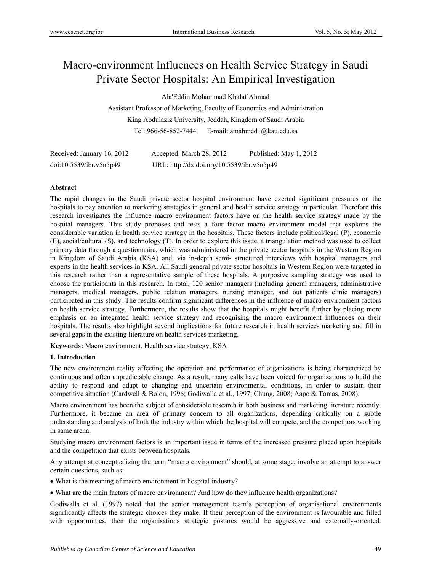# Macro-environment Influences on Health Service Strategy in Saudi Private Sector Hospitals: An Empirical Investigation

Ala'Eddin Mohammad Khalaf Ahmad

Assistant Professor of Marketing, Faculty of Economics and Administration King Abdulaziz University, Jeddah, Kingdom of Saudi Arabia Tel: 966-56-852-7444 E-mail: amahmed1@kau.edu.sa

| Received: January 16, 2012 | Accepted: March 28, 2012                   | Published: May 1, 2012 |
|----------------------------|--------------------------------------------|------------------------|
| doi:10.5539/ibr.v5n5p49    | URL: http://dx.doi.org/10.5539/ibr.v5n5p49 |                        |

# **Abstract**

The rapid changes in the Saudi private sector hospital environment have exerted significant pressures on the hospitals to pay attention to marketing strategies in general and health service strategy in particular. Therefore this research investigates the influence macro environment factors have on the health service strategy made by the hospital managers. This study proposes and tests a four factor macro environment model that explains the considerable variation in health service strategy in the hospitals. These factors include political/legal (P), economic (E), social/cultural (S), and technology (T). In order to explore this issue, a triangulation method was used to collect primary data through a questionnaire, which was administered in the private sector hospitals in the Western Region in Kingdom of Saudi Arabia (KSA) and, via in-depth semi- structured interviews with hospital managers and experts in the health services in KSA. All Saudi general private sector hospitals in Western Region were targeted in this research rather than a representative sample of these hospitals. A purposive sampling strategy was used to choose the participants in this research. In total, 120 senior managers (including general managers, administrative managers, medical managers, public relation managers, nursing manager, and out patients clinic managers) participated in this study. The results confirm significant differences in the influence of macro environment factors on health service strategy. Furthermore, the results show that the hospitals might benefit further by placing more emphasis on an integrated health service strategy and recognising the macro environment influences on their hospitals. The results also highlight several implications for future research in health services marketing and fill in several gaps in the existing literature on health services marketing.

**Keywords:** Macro environment, Health service strategy, KSA

## **1. Introduction**

The new environment reality affecting the operation and performance of organizations is being characterized by continuous and often unpredictable change. As a result, many calls have been voiced for organizations to build the ability to respond and adapt to changing and uncertain environmental conditions, in order to sustain their competitive situation (Cardwell & Bolon, 1996; Godiwalla et al., 1997; Chung, 2008; Aapo & Tomas, 2008).

Macro environment has been the subject of considerable research in both business and marketing literature recently. Furthermore, it became an area of primary concern to all organizations, depending critically on a subtle understanding and analysis of both the industry within which the hospital will compete, and the competitors working in same arena.

Studying macro environment factors is an important issue in terms of the increased pressure placed upon hospitals and the competition that exists between hospitals.

Any attempt at conceptualizing the term "macro environment" should, at some stage, involve an attempt to answer certain questions, such as:

What is the meaning of macro environment in hospital industry?

What are the main factors of macro environment? And how do they influence health organizations?

Godiwalla et al. (1997) noted that the senior management team's perception of organisational environments significantly affects the strategic choices they make. If their perception of the environment is favourable and filled with opportunities, then the organisations strategic postures would be aggressive and externally-oriented.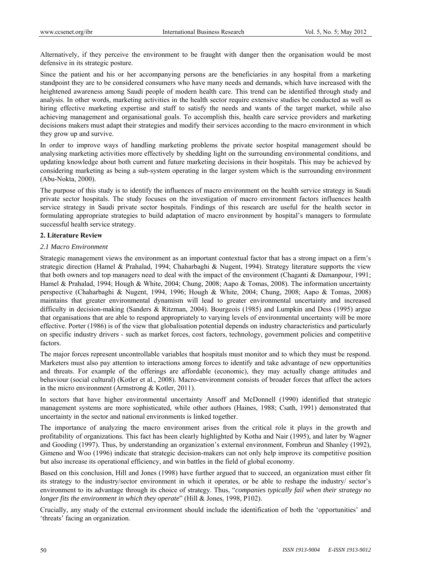Alternatively, if they perceive the environment to be fraught with danger then the organisation would be most defensive in its strategic posture.

Since the patient and his or her accompanying persons are the beneficiaries in any hospital from a marketing standpoint they are to be considered consumers who have many needs and demands, which have increased with the heightened awareness among Saudi people of modern health care. This trend can be identified through study and analysis. In other words, marketing activities in the health sector require extensive studies be conducted as well as hiring effective marketing expertise and staff to satisfy the needs and wants of the target market, while also achieving management and organisational goals. To accomplish this, health care service providers and marketing decisions makers must adapt their strategies and modify their services according to the macro environment in which they grow up and survive.

In order to improve ways of handling marketing problems the private sector hospital management should be analysing marketing activities more effectively by shedding light on the surrounding environmental conditions, and updating knowledge about both current and future marketing decisions in their hospitals. This may be achieved by considering marketing as being a sub-system operating in the larger system which is the surrounding environment (Abu-Nokta, 2000).

The purpose of this study is to identify the influences of macro environment on the health service strategy in Saudi private sector hospitals. The study focuses on the investigation of macro environment factors influences health service strategy in Saudi private sector hospitals. Findings of this research are useful for the health sector in formulating appropriate strategies to build adaptation of macro environment by hospital's managers to formulate successful health service strategy.

## **2. Literature Review**

## *2.1 Macro Environment*

Strategic management views the environment as an important contextual factor that has a strong impact on a firm's strategic direction (Hamel & Prahalad, 1994; Chaharbaghi & Nugent, 1994). Strategy literature supports the view that both owners and top managers need to deal with the impact of the environment (Chaganti & Damanpour, 1991; Hamel & Prahalad, 1994; Hough & White, 2004; Chung, 2008; Aapo & Tomas, 2008). The information uncertainty perspective (Chaharbaghi & Nugent, 1994, 1996; Hough & White, 2004; Chung, 2008; Aapo & Tomas, 2008) maintains that greater environmental dynamism will lead to greater environmental uncertainty and increased difficulty in decision-making (Sanders & Ritzman, 2004). Bourgeois (1985) and Lumpkin and Dess (1995) argue that organisations that are able to respond appropriately to varying levels of environmental uncertainty will be more effective. Porter (1986) is of the view that globalisation potential depends on industry characteristics and particularly on specific industry drivers - such as market forces, cost factors, technology, government policies and competitive factors.

The major forces represent uncontrollable variables that hospitals must monitor and to which they must be respond. Marketers must also pay attention to interactions among forces to identify and take advantage of new opportunities and threats. For example of the offerings are affordable (economic), they may actually change attitudes and behaviour (social cultural) (Kotler et al., 2008). Macro-environment consists of broader forces that affect the actors in the micro environment (Armstrong & Kotler, 2011).

In sectors that have higher environmental uncertainty Ansoff and McDonnell (1990) identified that strategic management systems are more sophisticated, while other authors (Haines, 1988; Csath, 1991) demonstrated that uncertainty in the sector and national environments is linked together.

The importance of analyzing the macro environment arises from the critical role it plays in the growth and profitability of organizations. This fact has been clearly highlighted by Kotha and Nair (1995), and later by Wagner and Gooding (1997). Thus, by understanding an organization's external environment, Fombrun and Shanley (1992), Gimeno and Woo (1996) indicate that strategic decision-makers can not only help improve its competitive position but also increase its operational efficiency, and win battles in the field of global economy.

Based on this conclusion, Hill and Jones (1998) have further argued that to succeed, an organization must either fit its strategy to the industry/sector environment in which it operates, or be able to reshape the industry/ sector's environment to its advantage through its choice of strategy. Thus, "*companies typically fail when their strategy no longer fits the environment in which they operate*" (Hill & Jones, 1998, P102).

Crucially, any study of the external environment should include the identification of both the 'opportunities' and 'threats' facing an organization.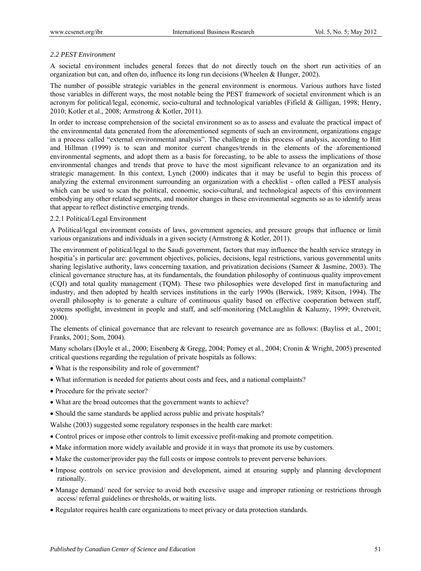# *2.2 PEST Environment*

A societal environment includes general forces that do not directly touch on the short run activities of an organization but can, and often do, influence its long run decisions (Wheelen & Hunger, 2002).

The number of possible strategic variables in the general environment is enormous. Various authors have listed those variables in different ways, the most notable being the PEST framework of societal environment which is an acronym for political/legal, economic, socio-cultural and technological variables (Fifield & Gilligan, 1998; Henry, 2010; Kotler et al., 2008; Armstrong & Kotler, 2011).

In order to increase comprehension of the societal environment so as to assess and evaluate the practical impact of the environmental data generated from the aforementioned segments of such an environment, organizations engage in a process called "external environmental analysis". The challenge in this process of analysis, according to Hitt and Hillman (1999) is to scan and monitor current changes/trends in the elements of the aforementioned environmental segments, and adopt them as a basis for forecasting, to be able to assess the implications of those environmental changes and trends that prove to have the most significant relevance to an organization and its strategic management. In this context, Lynch (2000) indicates that it may be useful to begin this process of analyzing the external environment surrounding an organization with a checklist - often called a PEST analysis which can be used to scan the political, economic, socio-cultural, and technological aspects of this environment embodying any other related segments, and monitor changes in these environmental segments so as to identify areas that appear to reflect distinctive emerging trends.

## 2.2.1 Political/Legal Environment

A Political/legal environment consists of laws, government agencies, and pressure groups that influence or limit various organizations and individuals in a given society (Armstrong & Kotler, 2011).

The environment of political/legal to the Saudi government, factors that may influence the health service strategy in hospitia's in particular are: government objectives, policies, decisions, legal restrictions, various governmental units sharing legislative authority, laws concerning taxation, and privatization decisions (Sameer & Jasmine, 2003). The clinical governance structure has, at its fundamentals, the foundation philosophy of continuous quality improvement (CQI) and total quality management (TQM). These two philosophies were developed first in manufacturing and industry, and then adopted by health services institutions in the early 1990s (Berwick, 1989; Kitson, 1994). The overall philosophy is to generate a culture of continuous quality based on effective cooperation between staff, systems spotlight, investment in people and staff, and self-monitoring (McLaughlin & Kaluzny, 1999; Ovretveit, 2000).

The elements of clinical governance that are relevant to research governance are as follows: (Bayliss et al., 2001; Franks, 2001; Som, 2004).

Many scholars (Doyle et al., 2000; Eisenberg & Gregg, 2004; Pomey et al., 2004; Cronin & Wright, 2005) presented critical questions regarding the regulation of private hospitals as follows:

- What is the responsibility and role of government?
- What information is needed for patients about costs and fees, and a national complaints?
- Procedure for the private sector?
- What are the broad outcomes that the government wants to achieve?
- Should the same standards be applied across public and private hospitals?

Walshe (2003) suggested some regulatory responses in the health care market:

- Control prices or impose other controls to limit excessive profit-making and promote competition.
- Make information more widely available and provide it in ways that promote its use by customers.
- Make the customer/provider pay the full costs or impose controls to prevent perverse behaviors.
- Impose controls on service provision and development, aimed at ensuring supply and planning development rationally.
- Manage demand/ need for service to avoid both excessive usage and improper rationing or restrictions through access/ referral guidelines or thresholds, or waiting lists.
- Regulator requires health care organizations to meet privacy or data protection standards.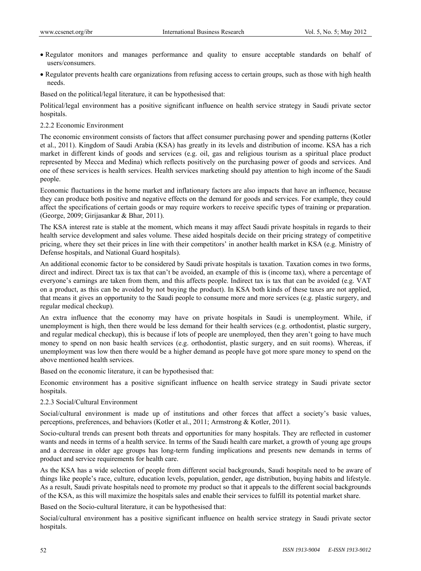- Regulator monitors and manages performance and quality to ensure acceptable standards on behalf of users/consumers.
- Regulator prevents health care organizations from refusing access to certain groups, such as those with high health needs.

Based on the political/legal literature, it can be hypothesised that:

Political/legal environment has a positive significant influence on health service strategy in Saudi private sector hospitals.

#### 2.2.2 Economic Environment

The economic environment consists of factors that affect consumer purchasing power and spending patterns (Kotler et al., 2011). Kingdom of Saudi Arabia (KSA) has greatly in its levels and distribution of income. KSA has a rich market in different kinds of goods and services (e.g. oil, gas and religious tourism as a spiritual place product represented by Mecca and Medina) which reflects positively on the purchasing power of goods and services. And one of these services is health services. Health services marketing should pay attention to high income of the Saudi people.

Economic fluctuations in the home market and inflationary factors are also impacts that have an influence, because they can produce both positive and negative effects on the demand for goods and services. For example, they could affect the specifications of certain goods or may require workers to receive specific types of training or preparation. (George, 2009; Girijasankar & Bhar, 2011).

The KSA interest rate is stable at the moment, which means it may affect Saudi private hospitals in regards to their health service development and sales volume. These aided hospitals decide on their pricing strategy of competitive pricing, where they set their prices in line with their competitors' in another health market in KSA (e.g. Ministry of Defense hospitals, and National Guard hospitals).

An additional economic factor to be considered by Saudi private hospitals is taxation. Taxation comes in two forms, direct and indirect. Direct tax is tax that can't be avoided, an example of this is (income tax), where a percentage of everyone's earnings are taken from them, and this affects people. Indirect tax is tax that can be avoided (e.g. VAT on a product, as this can be avoided by not buying the product). In KSA both kinds of these taxes are not applied, that means it gives an opportunity to the Saudi people to consume more and more services (e.g. plastic surgery, and regular medical checkup).

An extra influence that the economy may have on private hospitals in Saudi is unemployment. While, if unemployment is high, then there would be less demand for their health services (e.g. orthodontist, plastic surgery, and regular medical checkup), this is because if lots of people are unemployed, then they aren't going to have much money to spend on non basic health services (e.g. orthodontist, plastic surgery, and en suit rooms). Whereas, if unemployment was low then there would be a higher demand as people have got more spare money to spend on the above mentioned health services.

Based on the economic literature, it can be hypothesised that:

Economic environment has a positive significant influence on health service strategy in Saudi private sector hospitals.

#### 2.2.3 Social/Cultural Environment

Social/cultural environment is made up of institutions and other forces that affect a society's basic values, perceptions, preferences, and behaviors (Kotler et al., 2011; Armstrong & Kotler, 2011).

Socio-cultural trends can present both threats and opportunities for many hospitals. They are reflected in customer wants and needs in terms of a health service. In terms of the Saudi health care market, a growth of young age groups and a decrease in older age groups has long-term funding implications and presents new demands in terms of product and service requirements for health care.

As the KSA has a wide selection of people from different social backgrounds, Saudi hospitals need to be aware of things like people's race, culture, education levels, population, gender, age distribution, buying habits and lifestyle. As a result, Saudi private hospitals need to promote my product so that it appeals to the different social backgrounds of the KSA, as this will maximize the hospitals sales and enable their services to fulfill its potential market share.

Based on the Socio-cultural literature, it can be hypothesised that:

Social/cultural environment has a positive significant influence on health service strategy in Saudi private sector hospitals.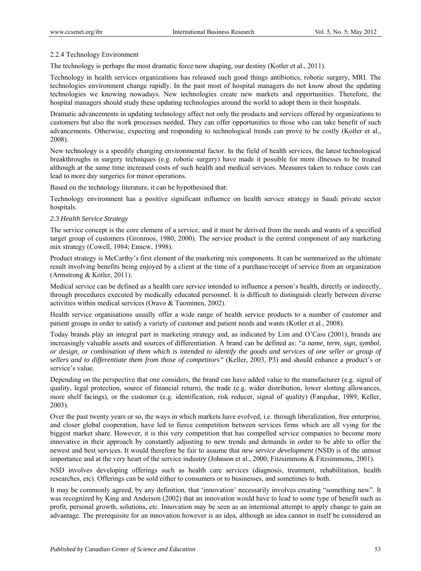## 2.2.4 Technology Environment

The technology is perhaps the most dramatic force now shaping, our destiny (Kotler et al., 2011).

Technology in health services organizations has released such good things antibiotics, robotic surgery, MRI. The technologies environment change rapidly. In the past most of hospital managers do not know about the updating technologies we knowing nowadays. New technologies create new markets and opportunities. Therefore, the hospital managers should study these updating technologies around the world to adopt them in their hospitals.

Dramatic advancements in updating technology affect not only the products and services offered by organizations to customers but also the work processes needed. They can offer opportunities to those who can take benefit of such advancements. Otherwise, expecting and responding to technological trends can prove to be costly (Kotler et al., 2008).

New technology is a speedily changing environmental factor. In the field of health services, the latest technological breakthroughs in surgery techniques (e.g. robotic surgery) have made it possible for more illnesses to be treated although at the same time increased costs of such health and medical services. Measures taken to reduce costs can lead to more day surgeries for minor operations.

Based on the technology literature, it can be hypothesised that:

Technology environment has a positive significant influence on health service strategy in Saudi private sector hospitals.

## *2.3 Health Service Strategy*

The service concept is the core element of a service, and it must be derived from the needs and wants of a specified target group of customers (Gronroos, 1980, 2000). The service product is the central component of any marketing mix strategy (Cowell, 1984; Ennew, 1998).

Product strategy is McCarthy's first element of the marketing mix components. It can be summarized as the ultimate result involving benefits being enjoyed by a client at the time of a purchase/receipt of service from an organization (Armstrong & Kotler, 2011).

Medical service can be defined as a health care service intended to influence a person's health, directly or indirectly, through procedures executed by medically educated personnel. It is difficult to distinguish clearly between diverse activities within medical services (Oravo & Tuominen, 2002).

Health service organisations usually offer a wide range of health service products to a number of customer and patient groups in order to satisfy a variety of customer and patient needs and wants (Kotler et al., 2008).

Today brands play an integral part in marketing strategy and, as indicated by Lim and O'Cass (2001), brands are increasingly valuable assets and sources of differentiation. A brand can be defined as: *"a name, term, sign, symbol, or design, or combination of them which is intended to identify the goods and services of one seller or group of sellers and to differentiate them from those of competitors"* (Keller, 2003, P3) and should enhance a product's or service's value.

Depending on the perspective that one considers, the brand can have added value to the manufacturer (e.g. signal of quality, legal protection, source of financial return), the trade (e.g. wider distribution, lower slotting allowances, more shelf facings), or the customer (e.g. identification, risk reducer, signal of quality) (Farquhar, 1989; Keller, 2003).

Over the past twenty years or so, the ways in which markets have evolved, i.e. through liberalization, free enterprise, and closer global cooperation, have led to fierce competition between services firms which are all vying for the biggest market share. However, it is this very competition that has compelled service companies to become more innovative in their approach by constantly adjusting to new trends and demands in order to be able to offer the newest and best services. It would therefore be fair to assume that *new service development* (NSD) is of the utmost importance and at the very heart of the service industry (Johnson et al., 2000; Fitzsimmons & Fitzsimmons, 2001).

NSD involves developing offerings such as health care services (diagnosis, treatment, rehabilitation, health researches, etc). Offerings can be sold either to consumers or to businesses, and sometimes to both.

It may be commonly agreed, by any definition, that 'innovation' necessarily involves creating "something new". It was recognized by King and Anderson (2002) that an innovation would have to lead to some type of benefit such as profit, personal growth, solutions, etc. Innovation may be seen as an intentional attempt to apply change to gain an advantage. The prerequisite for an innovation however is an idea, although an idea cannot in itself be considered an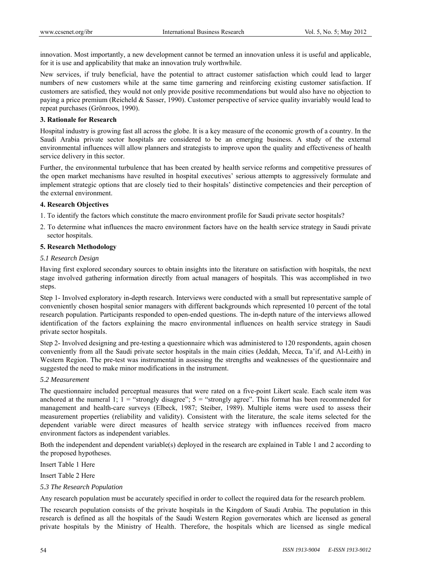innovation. Most importantly, a new development cannot be termed an innovation unless it is useful and applicable, for it is use and applicability that make an innovation truly worthwhile.

New services, if truly beneficial, have the potential to attract customer satisfaction which could lead to larger numbers of new customers while at the same time garnering and reinforcing existing customer satisfaction. If customers are satisfied, they would not only provide positive recommendations but would also have no objection to paying a price premium (Reicheld & Sasser, 1990). Customer perspective of service quality invariably would lead to repeat purchases (Grönroos, 1990).

## **3. Rationale for Research**

Hospital industry is growing fast all across the globe. It is a key measure of the economic growth of a country. In the Saudi Arabia private sector hospitals are considered to be an emerging business. A study of the external environmental influences will allow planners and strategists to improve upon the quality and effectiveness of health service delivery in this sector.

Further, the environmental turbulence that has been created by health service reforms and competitive pressures of the open market mechanisms have resulted in hospital executives' serious attempts to aggressively formulate and implement strategic options that are closely tied to their hospitals' distinctive competencies and their perception of the external environment.

# **4. Research Objectives**

- 1. To identify the factors which constitute the macro environment profile for Saudi private sector hospitals?
- 2. To determine what influences the macro environment factors have on the health service strategy in Saudi private sector hospitals.

## **5. Research Methodology**

## *5.1 Research Design*

Having first explored secondary sources to obtain insights into the literature on satisfaction with hospitals, the next stage involved gathering information directly from actual managers of hospitals. This was accomplished in two steps.

Step 1- Involved exploratory in-depth research. Interviews were conducted with a small but representative sample of conveniently chosen hospital senior managers with different backgrounds which represented 10 percent of the total research population. Participants responded to open-ended questions. The in-depth nature of the interviews allowed identification of the factors explaining the macro environmental influences on health service strategy in Saudi private sector hospitals.

Step 2- Involved designing and pre-testing a questionnaire which was administered to 120 respondents, again chosen conveniently from all the Saudi private sector hospitals in the main cities (Jeddah, Mecca, Ta'if, and Al-Leith) in Western Region. The pre-test was instrumental in assessing the strengths and weaknesses of the questionnaire and suggested the need to make minor modifications in the instrument.

## *5.2 Measurement*

The questionnaire included perceptual measures that were rated on a five-point Likert scale. Each scale item was anchored at the numeral 1;  $1 =$  "strongly disagree";  $5 =$  "strongly agree". This format has been recommended for management and health-care surveys (Elbeck, 1987; Steiber, 1989). Multiple items were used to assess their measurement properties (reliability and validity). Consistent with the literature, the scale items selected for the dependent variable were direct measures of health service strategy with influences received from macro environment factors as independent variables.

Both the independent and dependent variable(s) deployed in the research are explained in Table 1 and 2 according to the proposed hypotheses.

Insert Table 1 Here

Insert Table 2 Here

## *5.3 The Research Population*

Any research population must be accurately specified in order to collect the required data for the research problem.

The research population consists of the private hospitals in the Kingdom of Saudi Arabia. The population in this research is defined as all the hospitals of the Saudi Western Region governorates which are licensed as general private hospitals by the Ministry of Health. Therefore, the hospitals which are licensed as single medical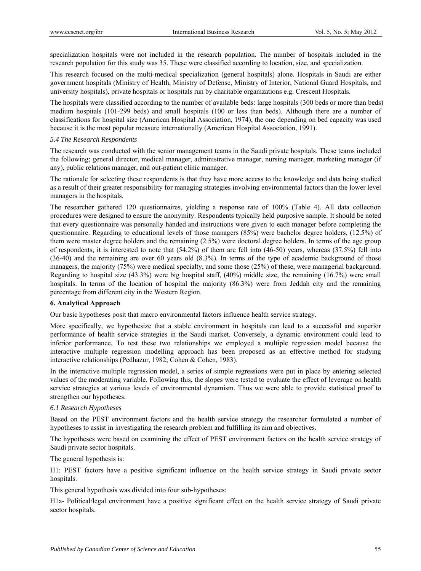specialization hospitals were not included in the research population. The number of hospitals included in the research population for this study was 35. These were classified according to location, size, and specialization.

This research focused on the multi-medical specialization (general hospitals) alone. Hospitals in Saudi are either government hospitals (Ministry of Health, Ministry of Defense, Ministry of Interior, National Guard Hospitals, and university hospitals), private hospitals or hospitals run by charitable organizations e.g. Crescent Hospitals.

The hospitals were classified according to the number of available beds: large hospitals (300 beds or more than beds) medium hospitals (101-299 beds) and small hospitals (100 or less than beds). Although there are a number of classifications for hospital size (American Hospital Association, 1974), the one depending on bed capacity was used because it is the most popular measure internationally (American Hospital Association, 1991).

## *5.4 The Research Respondents*

The research was conducted with the senior management teams in the Saudi private hospitals. These teams included the following; general director, medical manager, administrative manager, nursing manager, marketing manager (if any), public relations manager, and out-patient clinic manager.

The rationale for selecting these respondents is that they have more access to the knowledge and data being studied as a result of their greater responsibility for managing strategies involving environmental factors than the lower level managers in the hospitals.

The researcher gathered 120 questionnaires, yielding a response rate of 100% (Table 4). All data collection procedures were designed to ensure the anonymity. Respondents typically held purposive sample. It should be noted that every questionnaire was personally handed and instructions were given to each manager before completing the questionnaire. Regarding to educational levels of those managers (85%) were bachelor degree holders, (12.5%) of them were master degree holders and the remaining (2.5%) were doctoral degree holders. In terms of the age group of respondents, it is interested to note that (54.2%) of them are fell into (46-50) years, whereas (37.5%) fell into (36-40) and the remaining are over 60 years old (8.3%). In terms of the type of academic background of those managers, the majority (75%) were medical specialty, and some those (25%) of these, were managerial background. Regarding to hospital size (43.3%) were big hospital staff, (40%) middle size, the remaining (16.7%) were small hospitals. In terms of the location of hospital the majority (86.3%) were from Jeddah city and the remaining percentage from different city in the Western Region.

## **6. Analytical Approach**

Our basic hypotheses posit that macro environmental factors influence health service strategy.

More specifically, we hypothesize that a stable environment in hospitals can lead to a successful and superior performance of health service strategies in the Saudi market. Conversely, a dynamic environment could lead to inferior performance. To test these two relationships we employed a multiple regression model because the interactive multiple regression modelling approach has been proposed as an effective method for studying interactive relationships (Pedhazur, 1982; Cohen & Cohen, 1983).

In the interactive multiple regression model, a series of simple regressions were put in place by entering selected values of the moderating variable. Following this, the slopes were tested to evaluate the effect of leverage on health service strategies at various levels of environmental dynamism. Thus we were able to provide statistical proof to strengthen our hypotheses.

## *6.1 Research Hypotheses*

Based on the PEST environment factors and the health service strategy the researcher formulated a number of hypotheses to assist in investigating the research problem and fulfilling its aim and objectives.

The hypotheses were based on examining the effect of PEST environment factors on the health service strategy of Saudi private sector hospitals.

The general hypothesis is:

H1: PEST factors have a positive significant influence on the health service strategy in Saudi private sector hospitals.

This general hypothesis was divided into four sub-hypotheses:

H1a- Political/legal environment have a positive significant effect on the health service strategy of Saudi private sector hospitals.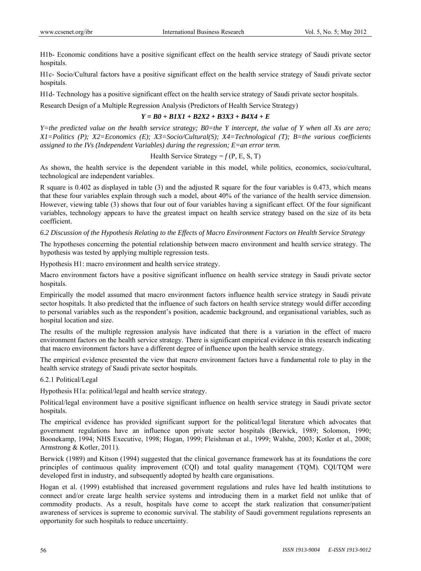H1b- Economic conditions have a positive significant effect on the health service strategy of Saudi private sector hospitals.

H1c- Socio/Cultural factors have a positive significant effect on the health service strategy of Saudi private sector hospitals.

H1d- Technology has a positive significant effect on the health service strategy of Saudi private sector hospitals.

Research Design of a Multiple Regression Analysis (Predictors of Health Service Strategy)

#### *Y = B0 + B1X1 + B2X2 + B3X3 + B4X4 + E*

*Y=the predicted value on the health service strategy; B0=the Y intercept, the value of Y when all Xs are zero; X1=Politics (P); X2=Economics (E); X3=Socio/Cultural(S); X4=Technological (T); B=the various coefficients assigned to the IVs (Independent Variables) during the regression; E=an error term.* 

#### Health Service Strategy =  $f(P, E, S, T)$

As shown, the health service is the dependent variable in this model, while politics, economics, socio/cultural, technological are independent variables.

R square is 0.402 as displayed in table (3) and the adjusted R square for the four variables is 0.473, which means that these four variables explain through such a model, about 40% of the variance of the health service dimension. However, viewing table (3) shows that four out of four variables having a significant effect. Of the four significant variables, technology appears to have the greatest impact on health service strategy based on the size of its beta coefficient.

#### *6.2 Discussion of the Hypothesis Relating to the Effects of Macro Environment Factors on Health Service Strategy*

The hypotheses concerning the potential relationship between macro environment and health service strategy. The hypothesis was tested by applying multiple regression tests.

Hypothesis H1: macro environment and health service strategy.

Macro environment factors have a positive significant influence on health service strategy in Saudi private sector hospitals.

Empirically the model assumed that macro environment factors influence health service strategy in Saudi private sector hospitals. It also predicted that the influence of such factors on health service strategy would differ according to personal variables such as the respondent's position, academic background, and organisational variables, such as hospital location and size.

The results of the multiple regression analysis have indicated that there is a variation in the effect of macro environment factors on the health service strategy. There is significant empirical evidence in this research indicating that macro environment factors have a different degree of influence upon the health service strategy.

The empirical evidence presented the view that macro environment factors have a fundamental role to play in the health service strategy of Saudi private sector hospitals.

## 6.2.1 Political/Legal

Hypothesis H1a: political/legal and health service strategy.

Political/legal environment have a positive significant influence on health service strategy in Saudi private sector hospitals.

The empirical evidence has provided significant support for the political/legal literature which advocates that government regulations have an influence upon private sector hospitals (Berwick, 1989; Solomon, 1990; Boonekamp, 1994; NHS Executive, 1998; Hogan, 1999; Fleishman et al., 1999; Walshe, 2003; Kotler et al., 2008; Armstrong & Kotler, 2011).

Berwick (1989) and Kitson (1994) suggested that the clinical governance framework has at its foundations the core principles of continuous quality improvement (CQI) and total quality management (TQM). CQI/TQM were developed first in industry, and subsequently adopted by health care organisations.

Hogan et al. (1999) established that increased government regulations and rules have led health institutions to connect and/or create large health service systems and introducing them in a market field not unlike that of commodity products. As a result, hospitals have come to accept the stark realization that consumer/patient awareness of services is supreme to economic survival. The stability of Saudi government regulations represents an opportunity for such hospitals to reduce uncertainty.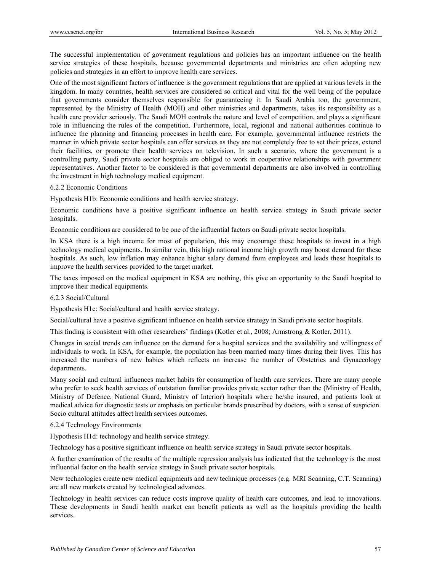The successful implementation of government regulations and policies has an important influence on the health service strategies of these hospitals, because governmental departments and ministries are often adopting new policies and strategies in an effort to improve health care services.

One of the most significant factors of influence is the government regulations that are applied at various levels in the kingdom. In many countries, health services are considered so critical and vital for the well being of the populace that governments consider themselves responsible for guaranteeing it. In Saudi Arabia too, the government, represented by the Ministry of Health (MOH) and other ministries and departments, takes its responsibility as a health care provider seriously. The Saudi MOH controls the nature and level of competition, and plays a significant role in influencing the rules of the competition. Furthermore, local, regional and national authorities continue to influence the planning and financing processes in health care. For example, governmental influence restricts the manner in which private sector hospitals can offer services as they are not completely free to set their prices, extend their facilities, or promote their health services on television. In such a scenario, where the government is a controlling party, Saudi private sector hospitals are obliged to work in cooperative relationships with government representatives. Another factor to be considered is that governmental departments are also involved in controlling the investment in high technology medical equipment.

#### 6.2.2 Economic Conditions

Hypothesis H1b: Economic conditions and health service strategy.

Economic conditions have a positive significant influence on health service strategy in Saudi private sector hospitals.

Economic conditions are considered to be one of the influential factors on Saudi private sector hospitals.

In KSA there is a high income for most of population, this may encourage these hospitals to invest in a high technology medical equipments. In similar vein, this high national income high growth may boost demand for these hospitals. As such, low inflation may enhance higher salary demand from employees and leads these hospitals to improve the health services provided to the target market.

The taxes imposed on the medical equipment in KSA are nothing, this give an opportunity to the Saudi hospital to improve their medical equipments.

#### 6.2.3 Social/Cultural

Hypothesis H1c: Social/cultural and health service strategy.

Social/cultural have a positive significant influence on health service strategy in Saudi private sector hospitals.

This finding is consistent with other researchers' findings (Kotler et al., 2008; Armstrong & Kotler, 2011).

Changes in social trends can influence on the demand for a hospital services and the availability and willingness of individuals to work. In KSA, for example, the population has been married many times during their lives. This has increased the numbers of new babies which reflects on increase the number of Obstetrics and Gynaecology departments.

Many social and cultural influences market habits for consumption of health care services. There are many people who prefer to seek health services of outstation familiar provides private sector rather than the (Ministry of Health, Ministry of Defence, National Guard, Ministry of Interior) hospitals where he/she insured, and patients look at medical advice for diagnostic tests or emphasis on particular brands prescribed by doctors, with a sense of suspicion. Socio cultural attitudes affect health services outcomes.

# 6.2.4 Technology Environments

Hypothesis H1d: technology and health service strategy.

Technology has a positive significant influence on health service strategy in Saudi private sector hospitals.

A further examination of the results of the multiple regression analysis has indicated that the technology is the most influential factor on the health service strategy in Saudi private sector hospitals.

New technologies create new medical equipments and new technique processes (e.g. MRI Scanning, C.T. Scanning) are all new markets created by technological advances.

Technology in health services can reduce costs improve quality of health care outcomes, and lead to innovations. These developments in Saudi health market can benefit patients as well as the hospitals providing the health services.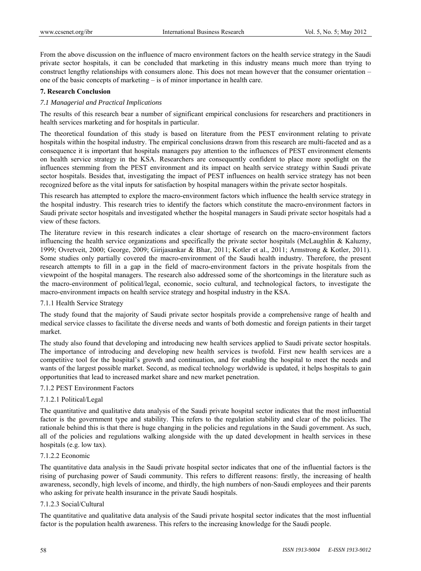From the above discussion on the influence of macro environment factors on the health service strategy in the Saudi private sector hospitals, it can be concluded that marketing in this industry means much more than trying to construct lengthy relationships with consumers alone. This does not mean however that the consumer orientation – one of the basic concepts of marketing – is of minor importance in health care.

#### **7. Research Conclusion**

#### *7.1 Managerial and Practical Implications*

The results of this research bear a number of significant empirical conclusions for researchers and practitioners in health services marketing and for hospitals in particular.

The theoretical foundation of this study is based on literature from the PEST environment relating to private hospitals within the hospital industry. The empirical conclusions drawn from this research are multi-faceted and as a consequence it is important that hospitals managers pay attention to the influences of PEST environment elements on health service strategy in the KSA. Researchers are consequently confident to place more spotlight on the influences stemming from the PEST environment and its impact on health service strategy within Saudi private sector hospitals. Besides that, investigating the impact of PEST influences on health service strategy has not been recognized before as the vital inputs for satisfaction by hospital managers within the private sector hospitals.

This research has attempted to explore the macro-environment factors which influence the health service strategy in the hospital industry. This research tries to identify the factors which constitute the macro-environment factors in Saudi private sector hospitals and investigated whether the hospital managers in Saudi private sector hospitals had a view of these factors.

The literature review in this research indicates a clear shortage of research on the macro-environment factors influencing the health service organizations and specifically the private sector hospitals (McLaughlin  $\&$  Kaluzny, 1999; Ovretveit, 2000; George, 2009; Girijasankar & Bhar, 2011; Kotler et al., 2011; Armstrong & Kotler, 2011). Some studies only partially covered the macro-environment of the Saudi health industry. Therefore, the present research attempts to fill in a gap in the field of macro-environment factors in the private hospitals from the viewpoint of the hospital managers. The research also addressed some of the shortcomings in the literature such as the macro-environment of political/legal, economic, socio cultural, and technological factors, to investigate the macro-environment impacts on health service strategy and hospital industry in the KSA.

#### 7.1.1 Health Service Strategy

The study found that the majority of Saudi private sector hospitals provide a comprehensive range of health and medical service classes to facilitate the diverse needs and wants of both domestic and foreign patients in their target market.

The study also found that developing and introducing new health services applied to Saudi private sector hospitals. The importance of introducing and developing new health services is twofold. First new health services are a competitive tool for the hospital's growth and continuation, and for enabling the hospital to meet the needs and wants of the largest possible market. Second, as medical technology worldwide is updated, it helps hospitals to gain opportunities that lead to increased market share and new market penetration.

#### 7.1.2 PEST Environment Factors

## 7.1.2.1 Political/Legal

The quantitative and qualitative data analysis of the Saudi private hospital sector indicates that the most influential factor is the government type and stability. This refers to the regulation stability and clear of the policies. The rationale behind this is that there is huge changing in the policies and regulations in the Saudi government. As such, all of the policies and regulations walking alongside with the up dated development in health services in these hospitals (e.g. low tax).

#### 7.1.2.2 Economic

The quantitative data analysis in the Saudi private hospital sector indicates that one of the influential factors is the rising of purchasing power of Saudi community. This refers to different reasons: firstly, the increasing of health awareness, secondly, high levels of income, and thirdly, the high numbers of non-Saudi employees and their parents who asking for private health insurance in the private Saudi hospitals.

#### 7.1.2.3 Social/Cultural

The quantitative and qualitative data analysis of the Saudi private hospital sector indicates that the most influential factor is the population health awareness. This refers to the increasing knowledge for the Saudi people.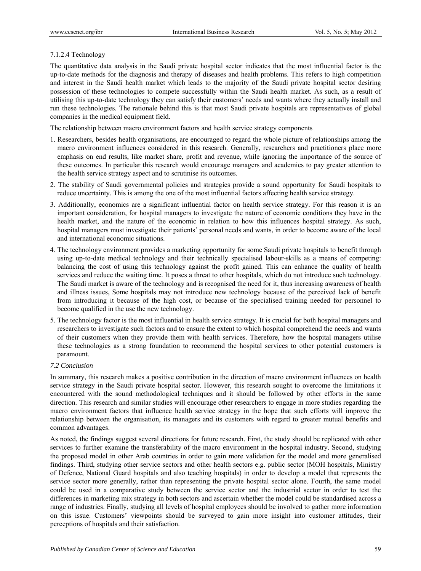# 7.1.2.4 Technology

The quantitative data analysis in the Saudi private hospital sector indicates that the most influential factor is the up-to-date methods for the diagnosis and therapy of diseases and health problems. This refers to high competition and interest in the Saudi health market which leads to the majority of the Saudi private hospital sector desiring possession of these technologies to compete successfully within the Saudi health market. As such, as a result of utilising this up-to-date technology they can satisfy their customers' needs and wants where they actually install and run these technologies. The rationale behind this is that most Saudi private hospitals are representatives of global companies in the medical equipment field.

The relationship between macro environment factors and health service strategy components

- 1. Researchers, besides health organisations, are encouraged to regard the whole picture of relationships among the macro environment influences considered in this research. Generally, researchers and practitioners place more emphasis on end results, like market share, profit and revenue, while ignoring the importance of the source of these outcomes. In particular this research would encourage managers and academics to pay greater attention to the health service strategy aspect and to scrutinise its outcomes.
- 2. The stability of Saudi governmental policies and strategies provide a sound opportunity for Saudi hospitals to reduce uncertainty. This is among the one of the most influential factors affecting health service strategy.
- 3. Additionally, economics are a significant influential factor on health service strategy. For this reason it is an important consideration, for hospital managers to investigate the nature of economic conditions they have in the health market, and the nature of the economic in relation to how this influences hospital strategy. As such, hospital managers must investigate their patients' personal needs and wants, in order to become aware of the local and international economic situations.
- 4. The technology environment provides a marketing opportunity for some Saudi private hospitals to benefit through using up-to-date medical technology and their technically specialised labour-skills as a means of competing: balancing the cost of using this technology against the profit gained. This can enhance the quality of health services and reduce the waiting time. It poses a threat to other hospitals, which do not introduce such technology. The Saudi market is aware of the technology and is recognised the need for it, thus increasing awareness of health and illness issues, Some hospitals may not introduce new technology because of the perceived lack of benefit from introducing it because of the high cost, or because of the specialised training needed for personnel to become qualified in the use the new technology.
- 5. The technology factor is the most influential in health service strategy. It is crucial for both hospital managers and researchers to investigate such factors and to ensure the extent to which hospital comprehend the needs and wants of their customers when they provide them with health services. Therefore, how the hospital managers utilise these technologies as a strong foundation to recommend the hospital services to other potential customers is paramount.

## *7.2 Conclusion*

In summary, this research makes a positive contribution in the direction of macro environment influences on health service strategy in the Saudi private hospital sector. However, this research sought to overcome the limitations it encountered with the sound methodological techniques and it should be followed by other efforts in the same direction. This research and similar studies will encourage other researchers to engage in more studies regarding the macro environment factors that influence health service strategy in the hope that such efforts will improve the relationship between the organisation, its managers and its customers with regard to greater mutual benefits and common advantages.

As noted, the findings suggest several directions for future research. First, the study should be replicated with other services to further examine the transferability of the macro environment in the hospital industry. Second, studying the proposed model in other Arab countries in order to gain more validation for the model and more generalised findings. Third, studying other service sectors and other health sectors e.g. public sector (MOH hospitals, Ministry of Defence, National Guard hospitals and also teaching hospitals) in order to develop a model that represents the service sector more generally, rather than representing the private hospital sector alone. Fourth, the same model could be used in a comparative study between the service sector and the industrial sector in order to test the differences in marketing mix strategy in both sectors and ascertain whether the model could be standardised across a range of industries. Finally, studying all levels of hospital employees should be involved to gather more information on this issue. Customers' viewpoints should be surveyed to gain more insight into customer attitudes, their perceptions of hospitals and their satisfaction.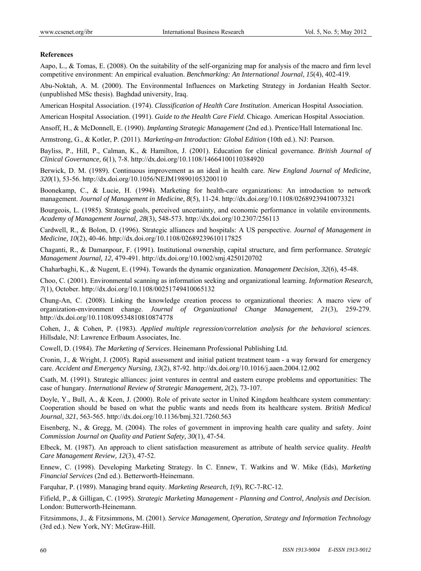## **References**

Aapo, L., & Tomas, E. (2008). On the suitability of the self-organizing map for analysis of the macro and firm level competitive environment: An empirical evaluation. *Benchmarking: An International Journal*, *15*(4), 402-419.

Abu-Noktah, A. M. (2000). The Environmental Influences on Marketing Strategy in Jordanian Health Sector. (unpublished MSc thesis). Baghdad university, Iraq.

American Hospital Association. (1974). *Classification of Health Care Institution*. American Hospital Association.

American Hospital Association. (1991). *Guide to the Health Care Field*. Chicago. American Hospital Association.

Ansoff, H., & McDonnell, E. (1990). *Implanting Strategic Management* (2nd ed.). Prentice/Hall International Inc.

Armstrong, G., & Kotler, P. (2011). *Marketing-an Introduction: Global Edition* (10th ed.). NJ: Pearson.

Bayliss, P., Hill, P., Calman, K., & Hamilton, J. (2001). Education for clinical governance. *British Journal of Clinical Governance, 6*(1), 7-8. http://dx.doi.org/10.1108/14664100110384920

Berwick, D. M. (1989). Continuous improvement as an ideal in health care. *New England Journal of Medicine, 320*(1), 53-56. http://dx.doi.org/10.1056/NEJM198901053200110

Boonekamp, C., & Lucie, H. (1994). Marketing for health-care organizations: An introduction to network management. *Journal of Management in Medicine, 8*(5), 11-24. http://dx.doi.org/10.1108/02689239410073321

Bourgeois, L. (1985). Strategic goals, perceived uncertainty, and economic performance in volatile environments*. Academy of Management Journal, 28*(3), 548-573. http://dx.doi.org/10.2307/256113

Cardwell, R., & Bolon, D. (1996). Strategic alliances and hospitals: A US perspective. *Journal of Management in Medicine, 10*(2), 40-46. http://dx.doi.org/10.1108/02689239610117825

Chaganti, R., & Damanpour, F. (1991). Institutional ownership, capital structure, and firm performance. *Strategic Management Journal, 12*, 479-491. http://dx.doi.org/10.1002/smj.4250120702

Chaharbaghi, K., & Nugent, E. (1994). Towards the dynamic organization. *Management Decision, 32*(6), 45-48.

Choo, C. (2001). Environmental scanning as information seeking and organizational learning. *Information Research, 7*(1), October. http://dx.doi.org/10.1108/00251749410065132

Chung-An, C. (2008). Linking the knowledge creation process to organizational theories: A macro view of organization-environment change. *Journal of Organizational Change Management, 21*(3), 259-279. http://dx.doi.org/10.1108/09534810810874778

Cohen, J., & Cohen, P. (1983). *Applied multiple regression/correlation analysis for the behavioral sciences*. Hillsdale, NJ: Lawrence Erlbaum Associates, Inc.

Cowell, D. (1984). *The Marketing of Services*. Heinemann Professional Publishing Ltd.

Cronin, J., & Wright, J. (2005). Rapid assessment and initial patient treatment team - a way forward for emergency care. *Accident and Emergency Nursing, 13*(2), 87-92. http://dx.doi.org/10.1016/j.aaen.2004.12.002

Csath, M. (1991). Strategic alliances: joint ventures in central and eastern europe problems and opportunities: The case of hungary. *International Review of Strategic Management, 2*(2), 73-107.

Doyle, Y., Bull, A., & Keen, J. (2000). Role of private sector in United Kingdom healthcare system commentary: Cooperation should be based on what the public wants and needs from its healthcare system. *British Medical Journal, 321*, 563-565. http://dx.doi.org/10.1136/bmj.321.7260.563

Eisenberg, N., & Gregg, M. (2004). The roles of government in improving health care quality and safety. *Joint Commission Journal on Quality and Patient Safety, 30*(1), 47-54.

Elbeck, M. (1987). An approach to client satisfaction measurement as attribute of health service quality. *Health Care Management Review, 12*(3), 47-52.

Ennew, C. (1998). Developing Marketing Strategy. In C. Ennew, T. Watkins and W. Mike (Eds), *Marketing Financial Services* (2nd ed.). Betterworth-Heinemann.

Farquhar, P. (1989). Managing brand equity. *Marketing Research, 1*(9), RC-7-RC-12.

Fifield, P., & Gilligan, C. (1995). *Strategic Marketing Management - Planning and Control, Analysis and Decision.*  London: Butterworth-Heinemann.

Fitzsimmons, J., & Fitzsimmons, M. (2001). *Service Management, Operation, Strategy and Information Technology* (3rd ed.). New York, NY: McGraw-Hill.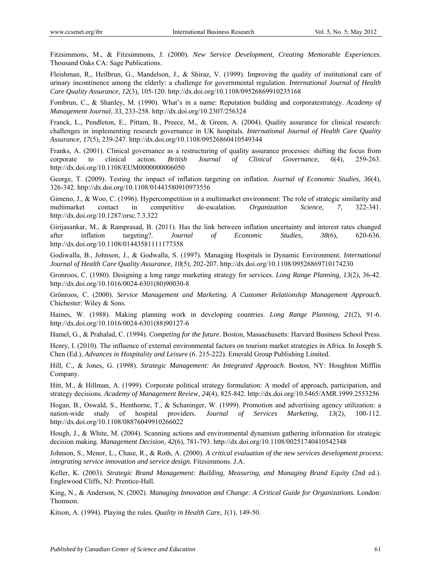Fitzsimmons, M., & Fitzsimmons, J. (2000). *New Service Development, Creating Memorable Experiences*. Thousand Oaks CA: Sage Publications.

Fleishman, R., Heilbrun, G., Mandelson, J., & Shiraz, V. (1999). Improving the quality of institutional care of urinary incontinence among the elderly: a challenge for governmental regulation. *International Journal of Health Care Quality Assurance, 12*(3), 105-120. http://dx.doi.org/10.1108/09526869910235168

Fombrun, C., & Shanley, M. (1990). What's in a name: Reputation building and corporatestrategy. *Academy of Management Journal, 33*, 233-258. http://dx.doi.org/10.2307/256324

Franck, L., Pendleton, E., Pittam, B., Preece, M., & Green, A. (2004). Quality assurance for clinical research: challenges in implementing research governance in UK hospitals. *International Journal of Health Care Quality Assurance, 17*(5), 239-247. http://dx.doi.org/10.1108/09526860410549344

Franks, A. (2001). Clinical governance as a restructuring of quality assurance processes: shifting the focus from corporate to clinical action. *British Journal of Clinical Governance, 6*(4), 259-263. http://dx.doi.org/10.1108/EUM0000000006050

George, T. (2009). Testing the impact of inflation targeting on inflation. *Journal of Economic Studies, 36*(4), 326-342. http://dx.doi.org/10.1108/01443580910973556

Gimeno, J., & Woo, C. (1996). Hypercompetition in a multimarket environment: The role of strategic similarity and multimarket contact in competitive de-escalation. *Organization Science, 7*, 322-341. http://dx.doi.org/10.1287/orsc.7.3.322

Girijasankar, M., & Ramprasad, B. (2011). Has the link between inflation uncertainty and interest rates changed after inflation targeting?. *Journal of Economic Studies, 38*(6), 620-636. http://dx.doi.org/10.1108/01443581111177358

Godiwalla, B., Johnson, J., & Godwalla, S. (1997). Managing Hospitals in Dynamic Environment. *International Journal of Health Care Quality Assurance, 10*(5), 202-207. http://dx.doi.org/10.1108/09526869710174230

Gronroos, C. (1980). Designing a long range marketing strategy for services. *Long Range Planning, 13*(2), 36-42. http://dx.doi.org/10.1016/0024-6301(80)90030-8

Grönroos, C. (2000). *Service Management and Marketing. A Customer Relationship Management Approach*. Chichester: Wiley & Sons.

Haines, W. (1988). Making planning work in developing countries. *Long Range Planning, 21*(2), 91-6. http://dx.doi.org/10.1016/0024-6301(88)90127-6

Hamel, G., & Prahalad, C. (1994). *Competing for the future*. Boston, Massachusetts: Harvard Business School Press.

Henry, I. (2010). The influence of external environmental factors on tourism market strategies in Africa. In Joseph S. Chen (Ed.), *Advances in Hospitality and Leisure* (6. 215-222). Emerald Group Publishing Limited.

Hill, C., & Jones, G. (1998). *Strategic Management: An Integrated Approach*. Boston, NY: Houghton Mifflin Company.

Hitt, M., & Hillman, A. (1999). Corporate political strategy formulation: A model of approach, participation, and strategy decisions. *Academy of Management Review, 24*(4), 825-842. http://dx.doi.org/10.5465/AMR.1999.2553256

Hogan, B., Oswald, S., Henthorne, T., & Schaninger, W. (1999). Promotion and advertising agency utilization: a nation-wide study of hospital providers. *Journal of Services Marketing, 13*(2), 100-112. http://dx.doi.org/10.1108/08876049910266022

Hough, J., & White, M. (2004). Scanning actions and environmental dynamism gathering information for strategic decision making. *Management Decision, 42*(6), 781-793. http://dx.doi.org/10.1108/00251740410542348

Johnson, S., Menor, L., Chase, R., & Roth, A. (2000). *A critical evaluation of the new services development process: integrating service innovation and service design.* Fitzsimmons. J.A.

Keller, K. (2003). *Strategic Brand Management: Building, Measuring, and Managing Brand Equity* (2nd ed.). Englewood Cliffs, NJ: Prentice-Hall.

King, N., & Anderson, N. (2002). *Managing Innovation and Change: A Critical Guide for Organizations*. London: Thomson.

Kitson, A. (1994). Playing the rules. *Quality in Health Care, 1*(1), 149-50.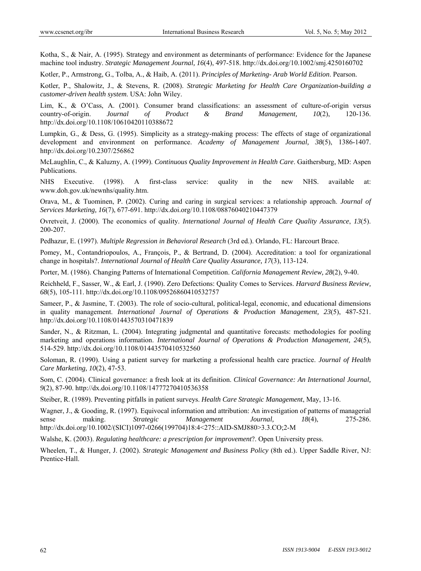Kotha, S., & Nair, A. (1995). Strategy and environment as determinants of performance: Evidence for the Japanese machine tool industry. *Strategic Management Journal, 16*(4), 497-518. http://dx.doi.org/10.1002/smj.4250160702

Kotler, P., Armstrong, G., Tolba, A., & Haib, A. (2011). *Principles of Marketing- Arab World Edition*. Pearson.

Kotler, P., Shalowitz, J., & Stevens, R. (2008). *Strategic Marketing for Health Care Organization-building a customer-driven health system*. USA: John Wiley.

Lim, K., & O'Cass, A. (2001). Consumer brand classifications: an assessment of culture-of-origin versus country-of-origin. *Journal of Product & Brand Management, 10*(2), 120-136. http://dx.doi.org/10.1108/10610420110388672

Lumpkin, G., & Dess, G. (1995). Simplicity as a strategy-making process: The effects of stage of organizational development and environment on performance. *Academy of Management Journal, 38*(5), 1386-1407. http://dx.doi.org/10.2307/256862

McLaughlin, C., & Kaluzny, A. (1999). *Continuous Quality Improvement in Health Care*. Gaithersburg, MD: Aspen Publications.

NHS Executive. (1998). A first-class service: quality in the new NHS. available at: www.doh.gov.uk/newnhs/quality.htm.

Orava, M., & Tuominen, P. (2002). Curing and caring in surgical services: a relationship approach. *Journal of Services Marketing, 16*(7), 677-691. http://dx.doi.org/10.1108/08876040210447379

Ovretveit, J. (2000). The economics of quality. *International Journal of Health Care Quality Assurance*, *13*(5). 200-207.

Pedhazur, E. (1997). *Multiple Regression in Behavioral Research* (3rd ed.). Orlando, FL: Harcourt Brace.

Pomey, M., Contandriopoulos, A., François, P., & Bertrand, D. (2004). Accreditation: a tool for organizational change in hospitals?. *International Journal of Health Care Quality Assurance, 17*(3), 113-124.

Porter, M. (1986). Changing Patterns of International Competition. *California Management Review, 28*(2), 9-40.

Reichheld, F., Sasser, W., & Earl, J. (1990). Zero Defections: Quality Comes to Services. *Harvard Business Review, 68*(5), 105-111. http://dx.doi.org/10.1108/09526860410532757

Sameer, P., & Jasmine, T. (2003). The role of socio-cultural, political-legal, economic, and educational dimensions in quality management. *International Journal of Operations & Production Management, 23*(5), 487-521. http://dx.doi.org/10.1108/01443570310471839

Sander, N., & Ritzman, L. (2004). Integrating judgmental and quantitative forecasts: methodologies for pooling marketing and operations information. *International Journal of Operations & Production Management, 24*(5), 514-529. http://dx.doi.org/10.1108/01443570410532560

Soloman, R. (1990). Using a patient survey for marketing a professional health care practice. *Journal of Health Care Marketing, 10*(2), 47-53.

Som, C. (2004). Clinical governance: a fresh look at its definition. *Clinical Governance: An International Journal, 9*(2), 87-90. http://dx.doi.org/10.1108/14777270410536358

Steiber, R. (1989). Preventing pitfalls in patient surveys. *Health Care Strategic Management*, May, 13-16.

Wagner, J., & Gooding, R. (1997). Equivocal information and attribution: An investigation of patterns of managerial sense making. *Strategic Management Journal, 18*(4), 275-286. http://dx.doi.org/10.1002/(SICI)1097-0266(199704)18:4<275::AID-SMJ880>3.3.CO;2-M

Walshe, K. (2003). *Regulating healthcare: a prescription for improvement*?. Open University press.

Wheelen, T., & Hunger, J. (2002). *Strategic Management and Business Policy* (8th ed.). Upper Saddle River, NJ: Prentice-Hall.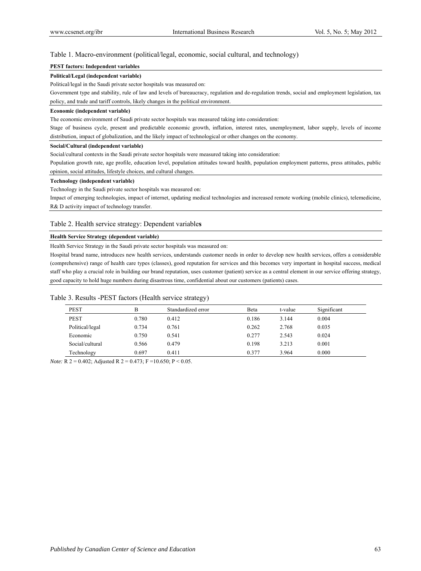#### Table 1. Macro-environment (political/legal, economic, social cultural, and technology)

#### **PEST factors: Independent variables**

#### **Political/Legal (independent variable)**

Political/legal in the Saudi private sector hospitals was measured on:

Government type and stability, rule of law and levels of bureaucracy, regulation and de-regulation trends, social and employment legislation, tax policy, and trade and tariff controls, likely changes in the political environment.

#### **Economic (independent variable)**

The economic environment of Saudi private sector hospitals was measured taking into consideration:

Stage of business cycle, present and predictable economic growth, inflation, interest rates, unemployment, labor supply, levels of income distribution, impact of globalization, and the likely impact of technological or other changes on the economy.

#### **Social/Cultural (independent variable)**

Social/cultural contexts in the Saudi private sector hospitals were measured taking into consideration:

Population growth rate, age profile, education level, population attitudes toward health, population employment patterns, press attitudes, public opinion, social attitudes, lifestyle choices, and cultural changes.

#### **Technology (independent variable)**

Technology in the Saudi private sector hospitals was measured on:

Impact of emerging technologies, impact of internet, updating medical technologies and increased remote working (mobile clinics), telemedicine, R& D activity impact of technology transfer.

#### Table 2. Health service strategy: Dependent variable**s**

#### **Health Service Strategy (dependent variable)**

Health Service Strategy in the Saudi private sector hospitals was measured on:

Hospital brand name, introduces new health services, understands customer needs in order to develop new health services, offers a considerable (comprehensive) range of health care types (classes), good reputation for services and this becomes very important in hospital success, medical staff who play a crucial role in building our brand reputation, uses customer (patient) service as a central element in our service offering strategy, good capacity to hold huge numbers during disastrous time, confidential about our customers (patients) cases.

#### Table 3. Results -PEST factors (Health service strategy)

| <b>PEST</b>     | В     | Standardized error | Beta  | t-value | Significant |
|-----------------|-------|--------------------|-------|---------|-------------|
| <b>PEST</b>     | 0.780 | 0.412              | 0.186 | 3.144   | 0.004       |
| Political/legal | 0.734 | 0.761              | 0.262 | 2.768   | 0.035       |
| Economic        | 0.750 | 0.541              | 0.277 | 2.543   | 0.024       |
| Social/cultural | 0.566 | 0.479              | 0.198 | 3.213   | 0.001       |
| Technology      | 0.697 | 0.411              | 0.377 | 3.964   | 0.000       |

*Note:* R 2 = 0.402; Adjusted R 2 = 0.473; F = 10.650; P < 0.05.